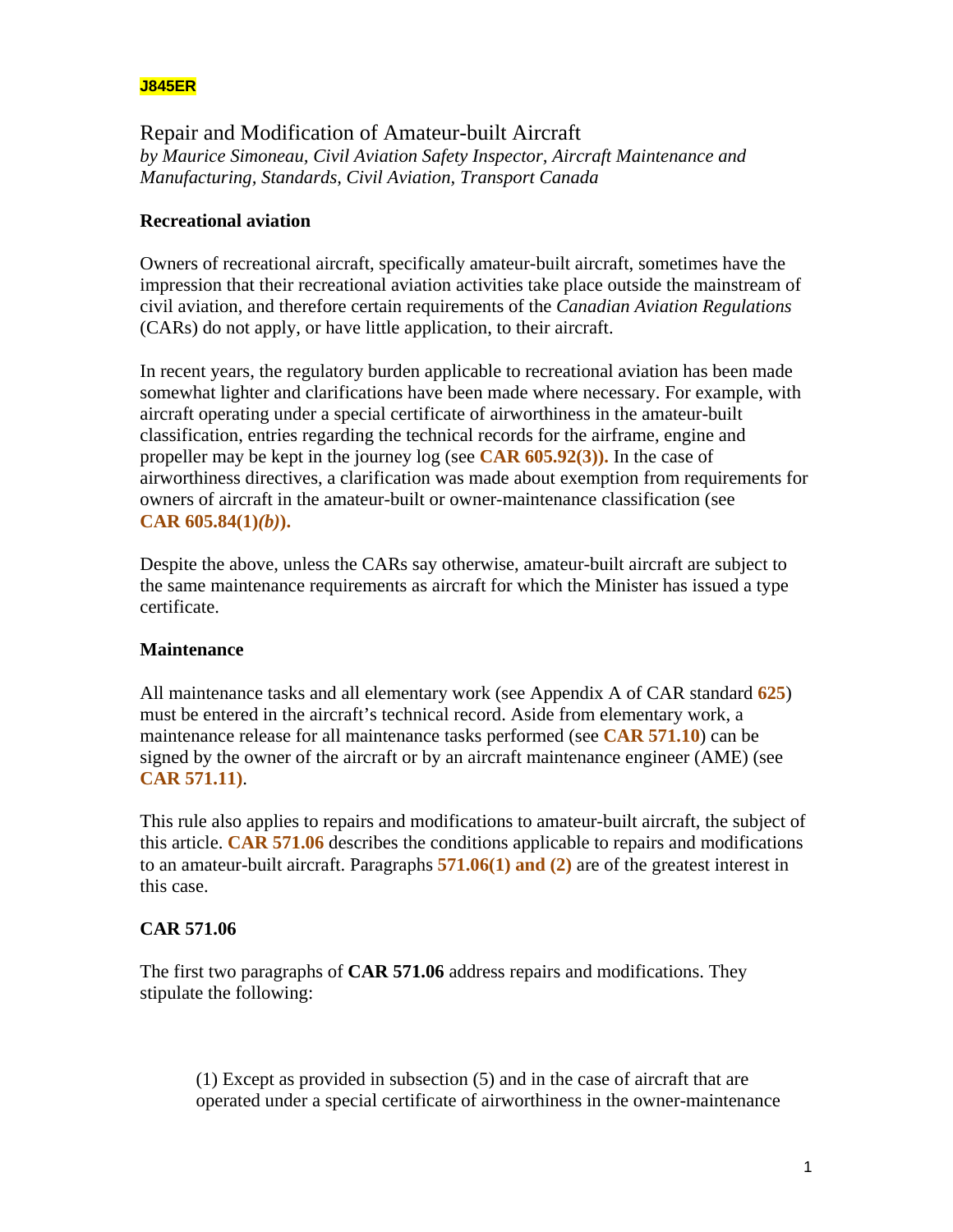### **J845ER**

Repair and Modification of Amateur-built Aircraft *by Maurice Simoneau, Civil Aviation Safety Inspector, Aircraft Maintenance and Manufacturing, Standards, Civil Aviation, Transport Canada* 

## **Recreational aviation**

Owners of recreational aircraft, specifically amateur-built aircraft, sometimes have the impression that their recreational aviation activities take place outside the mainstream of civil aviation, and therefore certain requirements of the *Canadian Aviation Regulations*  (CARs) do not apply, or have little application, to their aircraft.

In recent years, the regulatory burden applicable to recreational aviation has been made somewhat lighter and clarifications have been made where necessary. For example, with aircraft operating under a special certificate of airworthiness in the amateur-built classification, entries regarding the technical records for the airframe, engine and propeller may be kept in the journey log (see **[CAR 605.92\(3\)\).](http://www.tc.gc.ca/eng/civilaviation/regserv/cars/part6-605-2438.htm#605_92)** In the case of airworthiness directives, a clarification was made about exemption from requirements for owners of aircraft in the amateur-built or owner-maintenance classification (see **[CAR 605.84\(1\)](http://www.tc.gc.ca/eng/civilaviation/regserv/cars/part6-605-2438.htm#605_84)***(b)***).**

Despite the above, unless the CARs say otherwise, amateur-built aircraft are subject to the same maintenance requirements as aircraft for which the Minister has issued a type certificate.

### **Maintenance**

All maintenance tasks and all elementary work (see Appendix A of CAR standard **[625](http://www.tc.gc.ca/eng/civilaviation/regserv/cars/part6-standards-a625a-2458.htm)**) must be entered in the aircraft's technical record. Aside from elementary work, a maintenance release for all maintenance tasks performed (see **[CAR 571.10](http://www.tc.gc.ca/eng/civilaviation/regserv/cars/part5-standards-571s-1827.htm#571s_10)**) can be signed by the owner of the aircraft or by an aircraft maintenance engineer (AME) (see **[CAR 571.11\)](http://www.tc.gc.ca/eng/civilaviation/regserv/cars/part5-standards-571s-1827.htm#571s_11)**.

This rule also applies to repairs and modifications to amateur-built aircraft, the subject of this article. **[CAR 571.06](http://www.tc.gc.ca/eng/civilaviation/regserv/cars/part5-standards-571s-1827.htm#571s_06)** describes the conditions applicable to repairs and modifications to an amateur-built aircraft. Paragraphs **[571.06\(1\) and \(2\)](http://www.tc.gc.ca/eng/civilaviation/regserv/cars/part5-standards-571s-1827.htm#571s_06)** are of the greatest interest in this case.

## **CAR 571.06**

The first two paragraphs of **CAR 571.06** address repairs and modifications. They stipulate the following:

(1) Except as provided in subsection (5) and in the case of aircraft that are operated under a special certificate of airworthiness in the owner-maintenance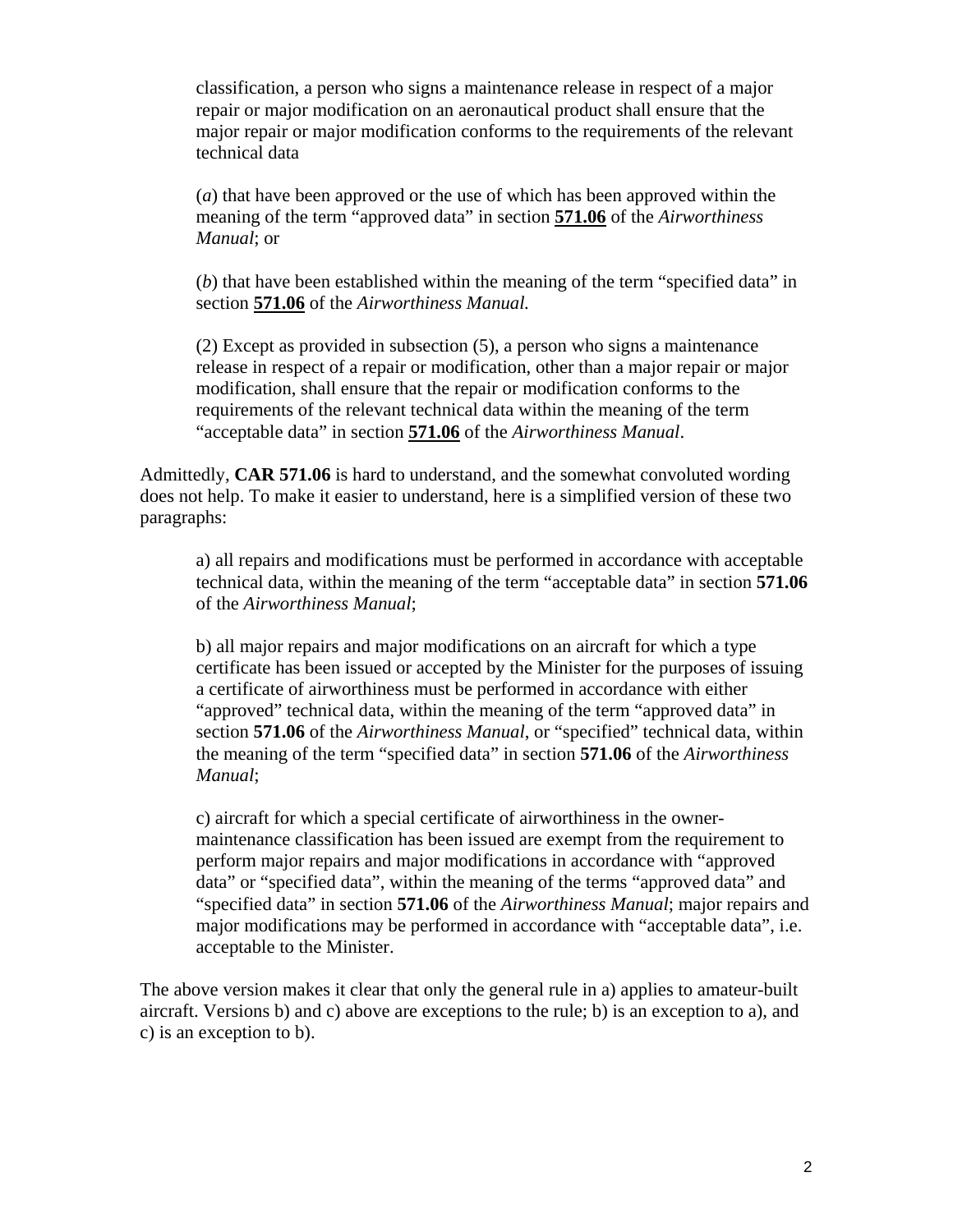classification, a person who signs a maintenance release in respect of a major repair or major modification on an aeronautical product shall ensure that the major repair or major modification conforms to the requirements of the relevant technical data

(*a*) that have been approved or the use of which has been approved within the meaning of the term "approved data" in section **571.06** of the *Airworthiness Manual*; or

(*b*) that have been established within the meaning of the term "specified data" in section **571.06** of the *Airworthiness Manual.* 

(2) Except as provided in subsection (5), a person who signs a maintenance release in respect of a repair or modification, other than a major repair or major modification, shall ensure that the repair or modification conforms to the requirements of the relevant technical data within the meaning of the term "acceptable data" in section **571.06** of the *Airworthiness Manual*.

Admittedly, **CAR 571.06** is hard to understand, and the somewhat convoluted wording does not help. To make it easier to understand, here is a simplified version of these two paragraphs:

a) all repairs and modifications must be performed in accordance with acceptable technical data, within the meaning of the term "acceptable data" in section **571.06** of the *Airworthiness Manual*;

b) all major repairs and major modifications on an aircraft for which a type certificate has been issued or accepted by the Minister for the purposes of issuing a certificate of airworthiness must be performed in accordance with either "approved" technical data, within the meaning of the term "approved data" in section **571.06** of the *Airworthiness Manual*, or "specified" technical data, within the meaning of the term "specified data" in section **571.06** of the *Airworthiness Manual*;

c) aircraft for which a special certificate of airworthiness in the ownermaintenance classification has been issued are exempt from the requirement to perform major repairs and major modifications in accordance with "approved data" or "specified data", within the meaning of the terms "approved data" and "specified data" in section **571.06** of the *Airworthiness Manual*; major repairs and major modifications may be performed in accordance with "acceptable data", i.e. acceptable to the Minister.

The above version makes it clear that only the general rule in a) applies to amateur-built aircraft. Versions b) and c) above are exceptions to the rule; b) is an exception to a), and c) is an exception to b).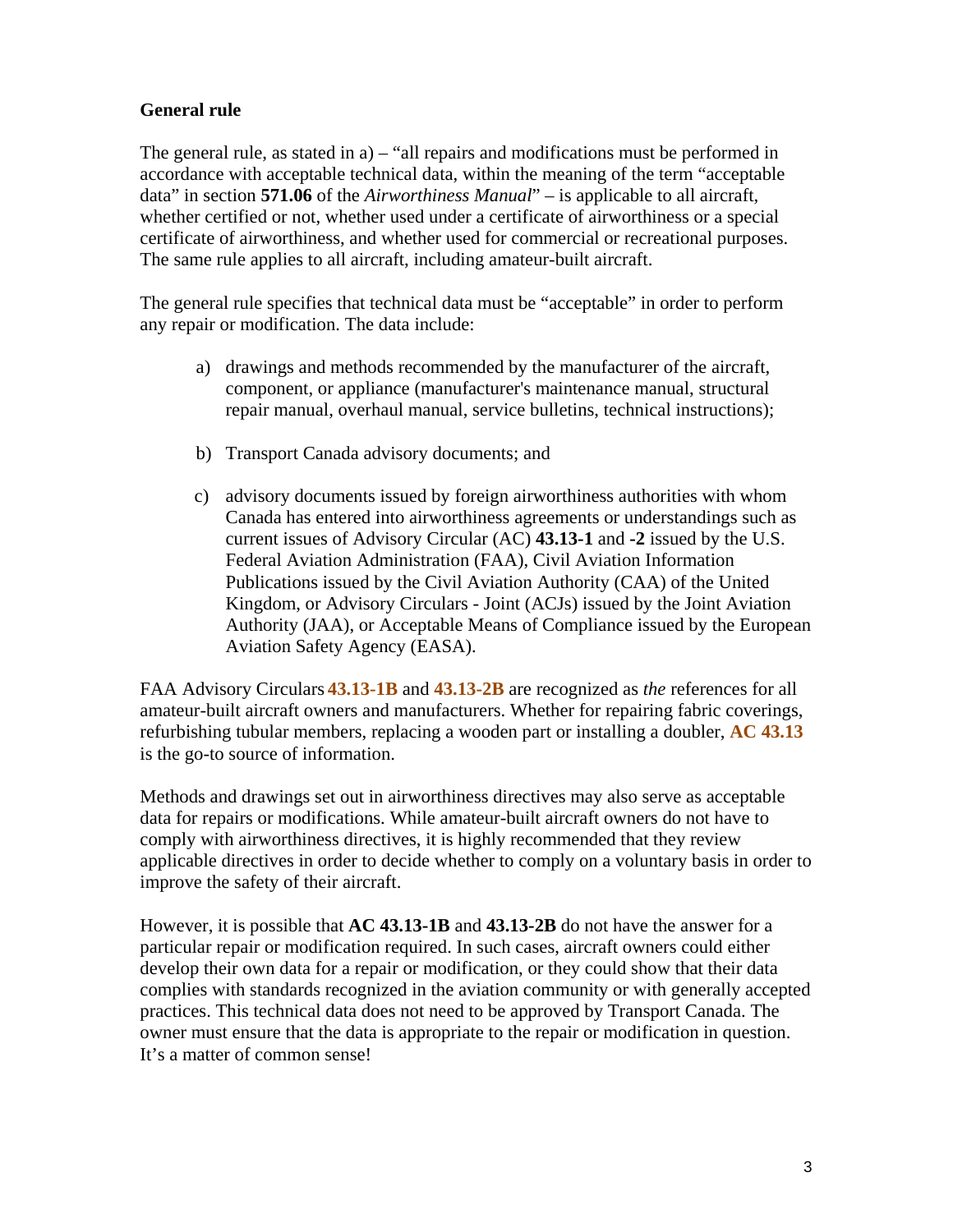# **General rule**

The general rule, as stated in  $a$ ) – "all repairs and modifications must be performed in accordance with acceptable technical data, within the meaning of the term "acceptable data" in section **571.06** of the *Airworthiness Manual*" – is applicable to all aircraft, whether certified or not, whether used under a certificate of airworthiness or a special certificate of airworthiness, and whether used for commercial or recreational purposes. The same rule applies to all aircraft, including amateur-built aircraft.

The general rule specifies that technical data must be "acceptable" in order to perform any repair or modification. The data include:

- a) drawings and methods recommended by the manufacturer of the aircraft, component, or appliance (manufacturer's maintenance manual, structural repair manual, overhaul manual, service bulletins, technical instructions);
- b) Transport Canada advisory documents; and
- c) advisory documents issued by foreign airworthiness authorities with whom Canada has entered into airworthiness agreements or understandings such as current issues of Advisory Circular (AC) **43.13-1** and **-2** issued by the U.S. Federal Aviation Administration (FAA), Civil Aviation Information Publications issued by the Civil Aviation Authority (CAA) of the United Kingdom, or Advisory Circulars - Joint (ACJs) issued by the Joint Aviation Authority (JAA), or Acceptable Means of Compliance issued by the European Aviation Safety Agency (EASA).

FAA Advisory Circulars **[43.13-1B](http://www.faa.gov/regulations_policies/advisory_circulars/index.cfm/go/document.information/documentID/99861)** and **[43.13-2B](http://www.faa.gov/documentLibrary/media/Advisory_Circular/AC%2043.13-2B.pdf)** are recognized as *the* references for all amateur-built aircraft owners and manufacturers. Whether for repairing fabric coverings, refurbishing tubular members, replacing a wooden part or installing a doubler, **AC 43.13** is the go-to source of information.

Methods and drawings set out in airworthiness directives may also serve as acceptable data for repairs or modifications. While amateur-built aircraft owners do not have to comply with airworthiness directives, it is highly recommended that they review applicable directives in order to decide whether to comply on a voluntary basis in order to improve the safety of their aircraft.

However, it is possible that **AC 43.13-1B** and **43.13-2B** do not have the answer for a particular repair or modification required. In such cases, aircraft owners could either develop their own data for a repair or modification, or they could show that their data complies with standards recognized in the aviation community or with generally accepted practices. This technical data does not need to be approved by Transport Canada. The owner must ensure that the data is appropriate to the repair or modification in question. It's a matter of common sense!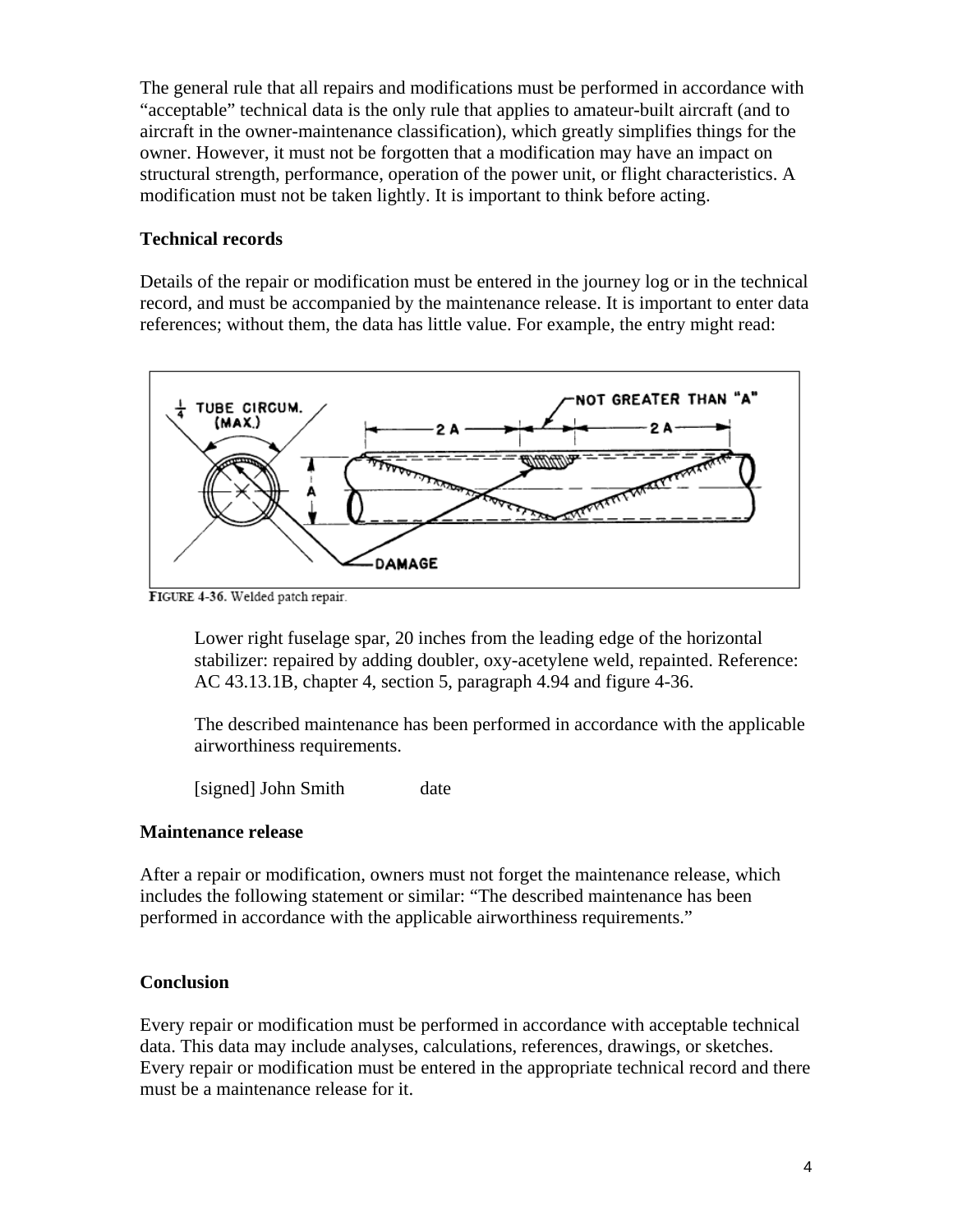The general rule that all repairs and modifications must be performed in accordance with "acceptable" technical data is the only rule that applies to amateur-built aircraft (and to aircraft in the owner-maintenance classification), which greatly simplifies things for the owner. However, it must not be forgotten that a modification may have an impact on structural strength, performance, operation of the power unit, or flight characteristics. A modification must not be taken lightly. It is important to think before acting.

# **Technical records**

Details of the repair or modification must be entered in the journey log or in the technical record, and must be accompanied by the maintenance release. It is important to enter data references; without them, the data has little value. For example, the entry might read:



FIGURE 4-36. Welded patch repair.

Lower right fuselage spar, 20 inches from the leading edge of the horizontal stabilizer: repaired by adding doubler, oxy-acetylene weld, repainted. Reference: AC 43.13.1B, chapter 4, section 5, paragraph 4.94 and figure 4-36.

The described maintenance has been performed in accordance with the applicable airworthiness requirements.

[signed] John Smith date

## **Maintenance release**

After a repair or modification, owners must not forget the maintenance release, which includes the following statement or similar: "The described maintenance has been performed in accordance with the applicable airworthiness requirements."

## **Conclusion**

Every repair or modification must be performed in accordance with acceptable technical data. This data may include analyses, calculations, references, drawings, or sketches. Every repair or modification must be entered in the appropriate technical record and there must be a maintenance release for it.